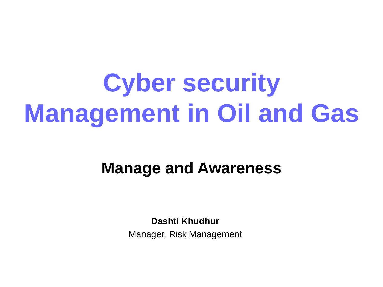### **Cyber security Management in Oil and Gas**

#### **Manage and Awareness**

**Dashti Khudhur**

Manager, Risk Management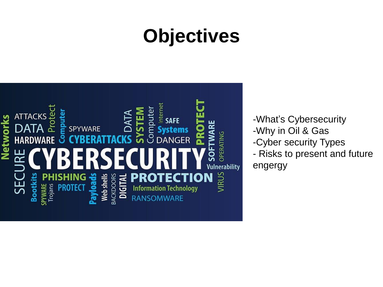### **Objectives**



-What's Cybersecurity

- -Why in Oil & Gas
- -Cyber security Types
- Risks to present and future

engergy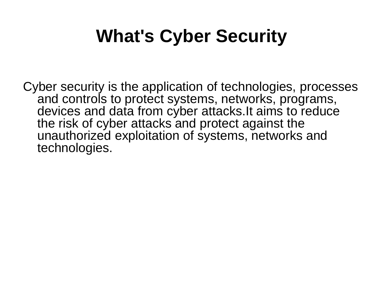### **What's Cyber Security**

Cyber security is the application of technologies, processes and controls to protect systems, networks, programs, devices and data from cyber attacks.It aims to reduce the risk of cyber attacks and protect against the unauthorized exploitation of systems, networks and technologies.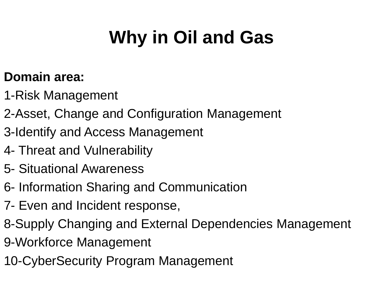#### **Domain area:**

- 1-Risk Management
- 2-Asset, Change and Configuration Management
- 3-Identify and Access Management
- 4- Threat and Vulnerability
- 5- Situational Awareness
- 6- Information Sharing and Communication
- 7- Even and Incident response,
- 8-Supply Changing and External Dependencies Management 9-Workforce Management
- 10-CyberSecurity Program Management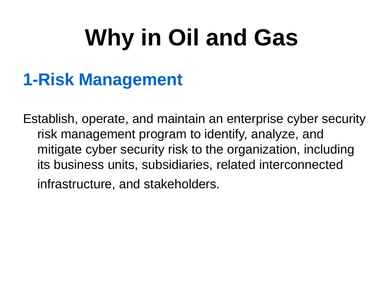#### **1-Risk Management**

Establish, operate, and maintain an enterprise cyber security risk management program to identify, analyze, and mitigate cyber security risk to the organization, including its business units, subsidiaries, related interconnected infrastructure, and stakeholders.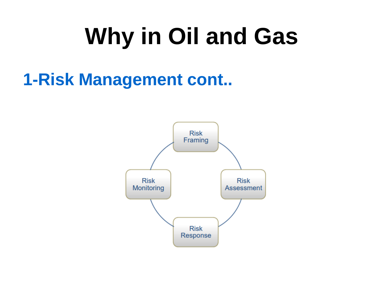#### **1-Risk Management cont..**

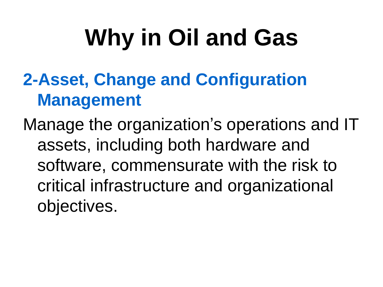### **2-Asset, Change and Configuration Management**

Manage the organization's operations and IT assets, including both hardware and software, commensurate with the risk to critical infrastructure and organizational objectives.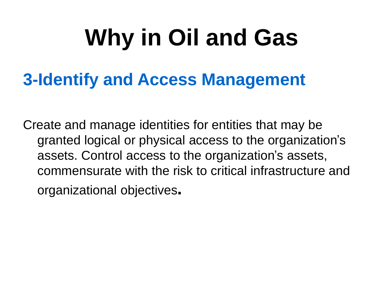#### **3-Identify and Access Management**

Create and manage identities for entities that may be granted logical or physical access to the organization's assets. Control access to the organization's assets, commensurate with the risk to critical infrastructure and organizational objectives**.**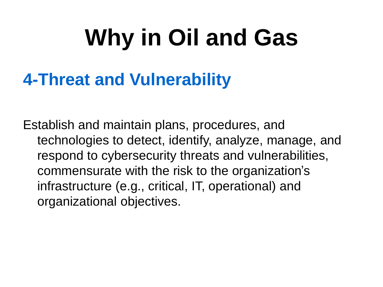#### **4-Threat and Vulnerability**

Establish and maintain plans, procedures, and technologies to detect, identify, analyze, manage, and respond to cybersecurity threats and vulnerabilities, commensurate with the risk to the organization's infrastructure (e.g., critical, IT, operational) and organizational objectives.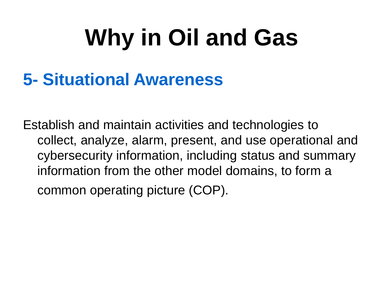#### **5- Situational Awareness**

Establish and maintain activities and technologies to collect, analyze, alarm, present, and use operational and cybersecurity information, including status and summary information from the other model domains, to form a common operating picture (COP).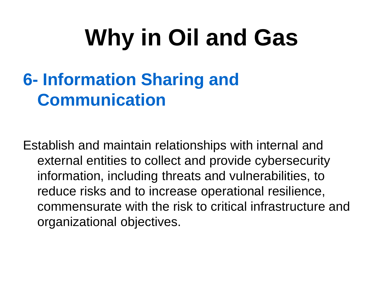#### **6- Information Sharing and Communication**

Establish and maintain relationships with internal and external entities to collect and provide cybersecurity information, including threats and vulnerabilities, to reduce risks and to increase operational resilience, commensurate with the risk to critical infrastructure and organizational objectives.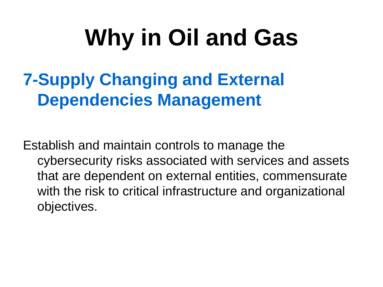#### **7-Supply Changing and External Dependencies Management**

Establish and maintain controls to manage the cybersecurity risks associated with services and assets that are dependent on external entities, commensurate with the risk to critical infrastructure and organizational objectives.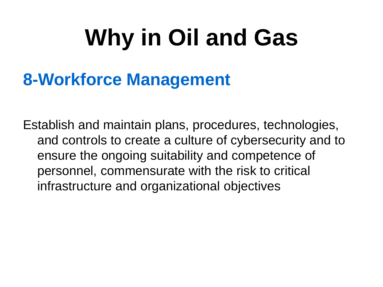#### **8-Workforce Management**

Establish and maintain plans, procedures, technologies, and controls to create a culture of cybersecurity and to ensure the ongoing suitability and competence of personnel, commensurate with the risk to critical infrastructure and organizational objectives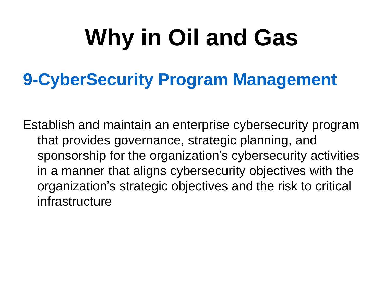#### **9-CyberSecurity Program Management**

Establish and maintain an enterprise cybersecurity program that provides governance, strategic planning, and sponsorship for the organization's cybersecurity activities in a manner that aligns cybersecurity objectives with the organization's strategic objectives and the risk to critical infrastructure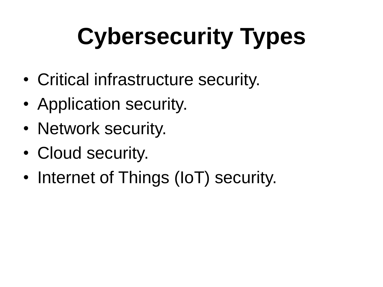# **Cybersecurity Types**

- Critical infrastructure security.
- Application security.
- Network security.
- Cloud security.
- Internet of Things (IoT) security.